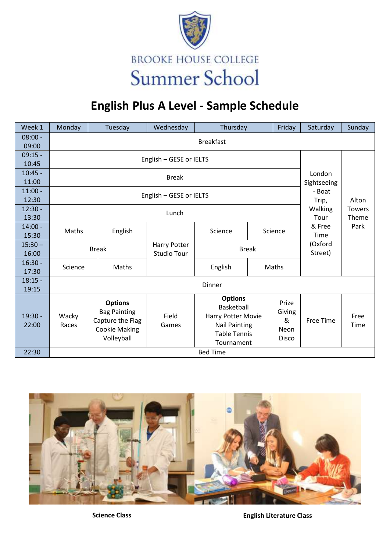

## **English Plus A Level - Sample Schedule**

| Week 1             | Monday                                                     | Tuesday                                                                                         | Wednesday           | Thursday<br>Friday                                                                                              |  | Saturday                              | Sunday    |              |  |  |  |  |  |
|--------------------|------------------------------------------------------------|-------------------------------------------------------------------------------------------------|---------------------|-----------------------------------------------------------------------------------------------------------------|--|---------------------------------------|-----------|--------------|--|--|--|--|--|
| $08:00 -$          | <b>Breakfast</b>                                           |                                                                                                 |                     |                                                                                                                 |  |                                       |           |              |  |  |  |  |  |
| 09:00              |                                                            |                                                                                                 |                     |                                                                                                                 |  |                                       |           |              |  |  |  |  |  |
| $09:15 -$          |                                                            |                                                                                                 |                     |                                                                                                                 |  |                                       |           |              |  |  |  |  |  |
| 10:45              | English - GESE or IELTS                                    |                                                                                                 |                     |                                                                                                                 |  |                                       |           |              |  |  |  |  |  |
| $10:45 -$          |                                                            | London<br>Sightseeing<br>- Boat                                                                 |                     |                                                                                                                 |  |                                       |           |              |  |  |  |  |  |
| 11:00              |                                                            |                                                                                                 |                     |                                                                                                                 |  |                                       |           |              |  |  |  |  |  |
| $11:00 -$          |                                                            |                                                                                                 |                     |                                                                                                                 |  |                                       |           |              |  |  |  |  |  |
| 12:30<br>$12:30 -$ | English - GESE or IELTS<br>Alton<br>Trip,<br><b>Towers</b> |                                                                                                 |                     |                                                                                                                 |  |                                       |           |              |  |  |  |  |  |
| 13:30              |                                                            | Walking<br>Tour                                                                                 | Theme               |                                                                                                                 |  |                                       |           |              |  |  |  |  |  |
| $14:00 -$          |                                                            |                                                                                                 |                     |                                                                                                                 |  |                                       | & Free    | Park         |  |  |  |  |  |
| 15:30              | Maths                                                      | English                                                                                         | <b>Harry Potter</b> | Science                                                                                                         |  | Science                               | Time      |              |  |  |  |  |  |
| $15:30 -$          |                                                            |                                                                                                 |                     |                                                                                                                 |  |                                       | (Oxford   |              |  |  |  |  |  |
| 16:00              | <b>Break</b>                                               |                                                                                                 | <b>Studio Tour</b>  | <b>Break</b>                                                                                                    |  | Street)                               |           |              |  |  |  |  |  |
| $16:30 -$          | Science                                                    | Maths                                                                                           |                     | English<br>Maths                                                                                                |  |                                       |           |              |  |  |  |  |  |
| 17:30              |                                                            |                                                                                                 |                     |                                                                                                                 |  |                                       |           |              |  |  |  |  |  |
| $18:15 -$          | <b>Dinner</b>                                              |                                                                                                 |                     |                                                                                                                 |  |                                       |           |              |  |  |  |  |  |
| 19:15              |                                                            |                                                                                                 |                     |                                                                                                                 |  |                                       |           |              |  |  |  |  |  |
| $19:30 -$<br>22:00 | Wacky<br>Races                                             | <b>Options</b><br><b>Bag Painting</b><br>Capture the Flag<br><b>Cookie Making</b><br>Volleyball | Field<br>Games      | <b>Options</b><br>Basketball<br>Harry Potter Movie<br><b>Nail Painting</b><br><b>Table Tennis</b><br>Tournament |  | Prize<br>Giving<br>&<br>Neon<br>Disco | Free Time | Free<br>Time |  |  |  |  |  |
| 22:30              | <b>Bed Time</b>                                            |                                                                                                 |                     |                                                                                                                 |  |                                       |           |              |  |  |  |  |  |



**Science Class English Literature Class**